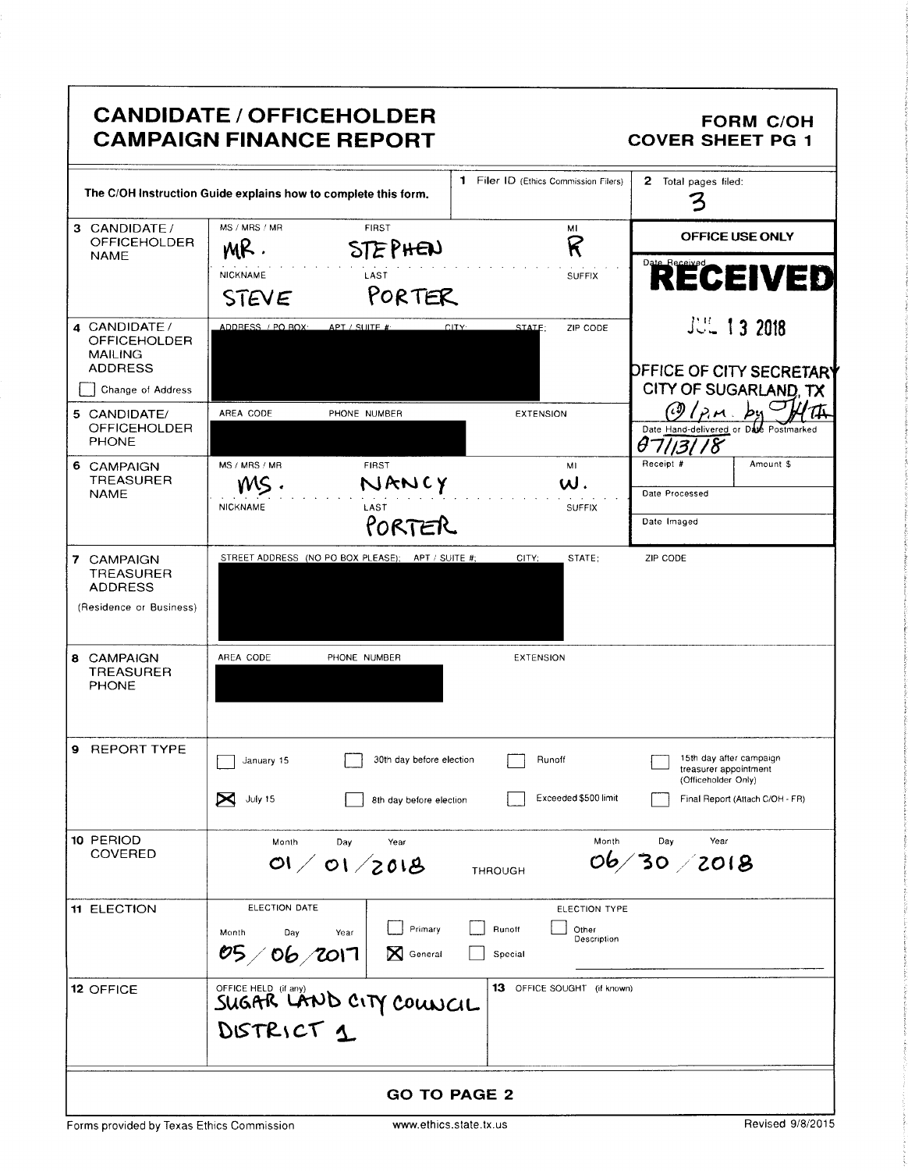|                                                                             | <b>CANDIDATE / OFFICEHOLDER</b><br><b>CAMPAIGN FINANCE REPORT</b> |                                                   |                     |                                       | <b>COVER SHEET PG 1</b>                                                 | <b>FORM C/OH</b> |
|-----------------------------------------------------------------------------|-------------------------------------------------------------------|---------------------------------------------------|---------------------|---------------------------------------|-------------------------------------------------------------------------|------------------|
| The C/OH Instruction Guide explains how to complete this form.              |                                                                   |                                                   |                     | 1 Filer ID (Ethics Commission Filers) | <b>2</b> Total pages filed:                                             |                  |
| 3 CANDIDATE/<br><b>OFFICEHOLDER</b>                                         | MS / MRS / MR<br>MR.                                              | <b>FIRST</b><br><b>STEPHEN</b>                    |                     | м١<br>R                               | OFFICE USE ONLY                                                         |                  |
| <b>NAME</b>                                                                 | <b>NICKNAME</b><br>STEVE                                          | LAST<br>PORTER                                    |                     | SUFFIX                                | RECEIVED                                                                |                  |
| 4 CANDIDATE /<br><b>OFFICEHOLDER</b><br><b>MAILING</b><br><b>ADDRESS</b>    | ADDRESS / PO BOX                                                  | APT / SUITE #                                     | CITY:<br>STATE:     | ZIP CODE                              | <b>JUL 13 2018</b><br><b>DEFICE OF CITY SECRETARY</b>                   |                  |
| Change of Address                                                           |                                                                   |                                                   |                     |                                       | CITY OF SUGARLAND, TX                                                   |                  |
| 5 CANDIDATE/<br><b>OFFICEHOLDER</b><br><b>PHONE</b>                         | AREA CODE                                                         | PHONE NUMBER                                      |                     | <b>EXTENSION</b>                      | Date Hand-delivered or Date Postmarked                                  |                  |
| 6 CAMPAIGN<br><b>TREASURER</b>                                              | MS / MRS / MR                                                     | <b>FIRST</b><br>NANCY                             |                     | MI<br>$\mathsf{w}.$                   | Receipt #                                                               | Amount \$        |
| <b>NAME</b>                                                                 | <b>NICKNAME</b>                                                   | LAST                                              |                     | <b>SUFFIX</b>                         | Date Processed                                                          |                  |
|                                                                             |                                                                   | PORTER                                            |                     |                                       | Date Imaged                                                             |                  |
| 7 CAMPAIGN<br><b>TREASURER</b><br><b>ADDRESS</b><br>(Residence or Business) |                                                                   | STREET ADDRESS (NO PO BOX PLEASE); APT / SUITE #; | CITY:               | STATE;                                | ZIP CODE                                                                |                  |
| 8 CAMPAIGN<br><b>TREASURER</b><br><b>PHONE</b>                              | AREA CODE                                                         | PHONE NUMBER                                      |                     | EXTENSION                             |                                                                         |                  |
| 9 REPORT TYPE                                                               | January 15                                                        | 30th day before election                          |                     | Runoff                                | 15th day after campaign<br>treasurer appointment<br>(Officeholder Only) |                  |
|                                                                             | X<br>July 15                                                      | 8th day before election                           |                     | Exceeded \$500 limit                  | Final Report (Attach C/OH - FR)                                         |                  |
| 10 PERIOD<br><b>COVERED</b>                                                 | Month                                                             | Day<br>Year<br>01/01/2018                         | <b>THROUGH</b>      | Month                                 | Year<br>Day<br>06/30/2018                                               |                  |
| <b>11 ELECTION</b>                                                          | ELECTION DATE<br>Month<br>Day<br>05/06/2017                       | Primary<br>Year<br>N<br>General                   | Runoff<br>Special   | ELECTION TYPE<br>Other<br>Description |                                                                         |                  |
| 12 OFFICE                                                                   | DISTRICT 1                                                        | OFFICE HELD (IT any)<br>SUGAR LAND CITY COUNCIL   |                     | 13 OFFICE SOUGHT (if known)           |                                                                         |                  |
|                                                                             |                                                                   |                                                   | <b>GO TO PAGE 2</b> |                                       |                                                                         |                  |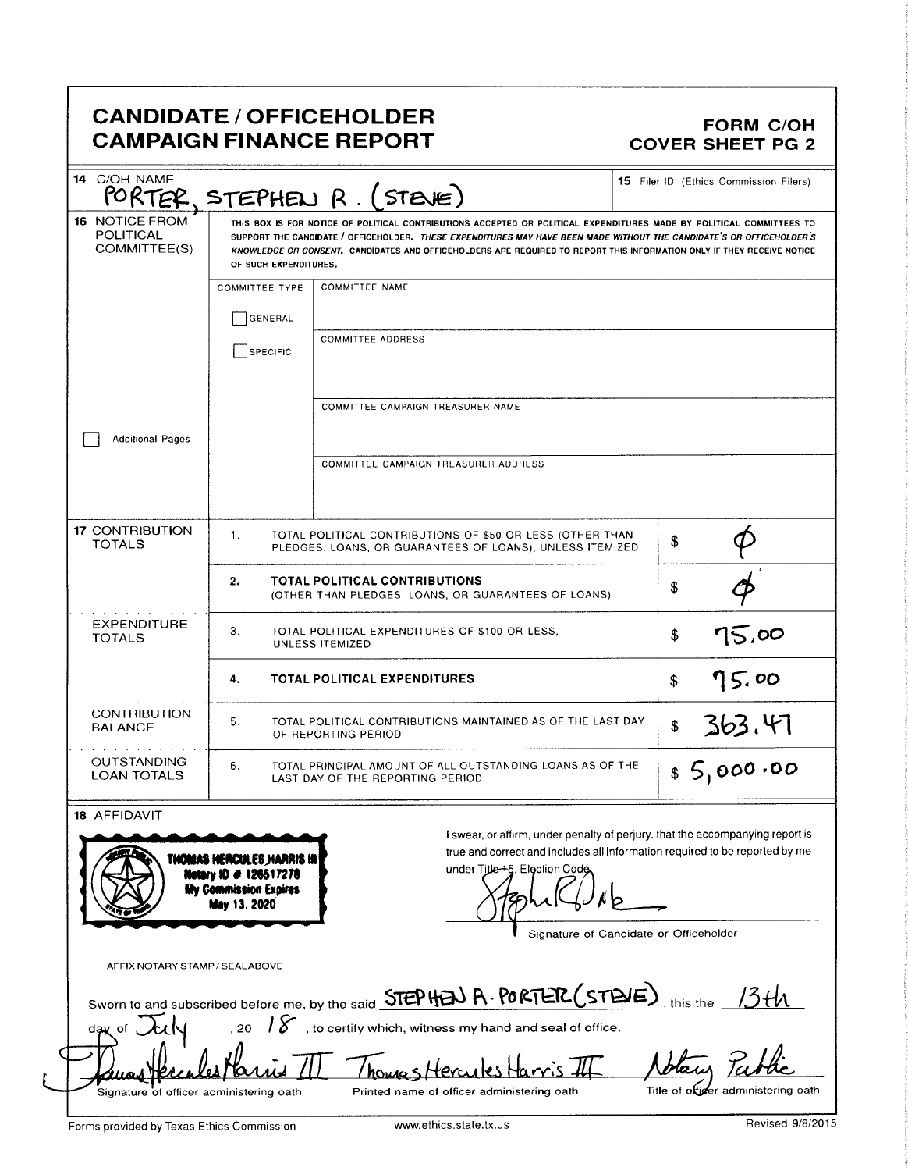## CANDIDATE / OFFICEHOLDER<br>CAMPAIGN FINANCE REPORT CAMPAIGN FINANCE REPORT **CAMPAIGN FINANCE REPORT**

| <b>16 NOTICE FROM</b><br>POLITICAL<br>COMMITTEE(S) | PORTER, STEPHEN R. (STEVE)<br>THIS BOX IS FOR NOTICE OF POLITICAL CONTRIBUTIONS ACCEPTED OR POLITICAL EXPENDITURES MADE BY POLITICAL COMMITTEES TO<br>SUPPORT THE CANDIDATE / OFFICEHOLDER. THESE EXPENDITURES MAY HAVE BEEN MADE WITHOUT THE CANDIDATE'S OR OFFICEHOLDER'S<br>KNOWLEDGE OR CONSENT. CANDIDATES AND OFFICEHOLDERS ARE REQUIRED TO REPORT THIS INFORMATION ONLY IF THEY RECEIVE NOTICE<br>OF SUCH EXPENDITURES. |                                                                                                               |  |  |  |  |
|----------------------------------------------------|--------------------------------------------------------------------------------------------------------------------------------------------------------------------------------------------------------------------------------------------------------------------------------------------------------------------------------------------------------------------------------------------------------------------------------|---------------------------------------------------------------------------------------------------------------|--|--|--|--|
|                                                    | <b>COMMITTEE TYPE</b><br>GENERAL                                                                                                                                                                                                                                                                                                                                                                                               | <b>COMMITTEE NAME</b>                                                                                         |  |  |  |  |
|                                                    | SPECIFIC                                                                                                                                                                                                                                                                                                                                                                                                                       | <b>COMMITTEE ADDRESS</b>                                                                                      |  |  |  |  |
|                                                    |                                                                                                                                                                                                                                                                                                                                                                                                                                | COMMITTEE CAMPAIGN TREASURER NAME                                                                             |  |  |  |  |
| <b>Additional Pages</b>                            |                                                                                                                                                                                                                                                                                                                                                                                                                                | COMMITTEE CAMPAIGN TREASURER ADDRESS                                                                          |  |  |  |  |
| <b>17 CONTRIBUTION</b><br><b>TOTALS</b>            | 1.<br>TOTAL POLITICAL CONTRIBUTIONS OF \$50 OR LESS (OTHER THAN<br>PLEDGES, LOANS, OR GUARANTEES OF LOANS), UNLESS ITEMIZED                                                                                                                                                                                                                                                                                                    | \$                                                                                                            |  |  |  |  |
|                                                    | 2.<br><b>TOTAL POLITICAL CONTRIBUTIONS</b><br>(OTHER THAN PLEDGES, LOANS, OR GUARANTEES OF LOANS)                                                                                                                                                                                                                                                                                                                              | \$                                                                                                            |  |  |  |  |
| <b>EXPENDITURE</b><br><b>TOTALS</b>                | З.<br>TOTAL POLITICAL EXPENDITURES OF \$100 OR LESS,<br>UNLESS ITEMIZED                                                                                                                                                                                                                                                                                                                                                        | 75,00<br>\$                                                                                                   |  |  |  |  |
|                                                    | <b>TOTAL POLITICAL EXPENDITURES</b><br>4.                                                                                                                                                                                                                                                                                                                                                                                      | 75.00<br>\$                                                                                                   |  |  |  |  |
| <b>CONTRIBUTION</b><br><b>BALANCE</b>              | 5.<br>TOTAL POLITICAL CONTRIBUTIONS MAINTAINED AS OF THE LAST DAY<br>OF REPORTING PERIOD                                                                                                                                                                                                                                                                                                                                       | $\frac{$363.47}{000.00}$                                                                                      |  |  |  |  |
| <b>OUTSTANDING</b><br><b>LOAN TOTALS</b>           | 6.<br>TOTAL PRINCIPAL AMOUNT OF ALL OUTSTANDING LOANS AS OF THE<br>LAST DAY OF THE REPORTING PERIOD                                                                                                                                                                                                                                                                                                                            |                                                                                                               |  |  |  |  |
| 18 AFFIDAVIT                                       |                                                                                                                                                                                                                                                                                                                                                                                                                                | I swear, or affirm, under penalty of perjury, that the accompanying report is                                 |  |  |  |  |
|                                                    | THOMAS HERCULES HARRIS IN<br>Netary ID # 126517278<br><b>My Commission Expires</b><br>May 13, 2020                                                                                                                                                                                                                                                                                                                             | true and correct and includes all information required to be reported by me<br>under Title-45, Election Code. |  |  |  |  |
| AFFIX NOTARY STAMP / SEALABOVE                     |                                                                                                                                                                                                                                                                                                                                                                                                                                | Signature of Candidate or Officeholder                                                                        |  |  |  |  |
|                                                    |                                                                                                                                                                                                                                                                                                                                                                                                                                | Sworn to and subscribed before me, by the said STEP HEN R. PORTER (STEVE), this the 13th                      |  |  |  |  |
| dav of                                             |                                                                                                                                                                                                                                                                                                                                                                                                                                | $\sum$ , to certify which, witness my hand and seal of office.                                                |  |  |  |  |